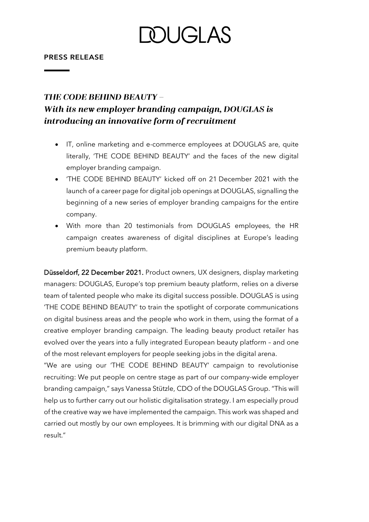### DUGI AS

### **PRESS RELEASE**

### **THE CODE BEHIND BEAUTY -**With its new employer branding campaign, DOUGLAS is introducing an innovative form of recruitment

- IT, online marketing and e-commerce employees at DOUGLAS are, quite literally, 'THE CODE BEHIND BEAUTY' and the faces of the new digital employer branding campaign.
- 'THE CODE BEHIND BEAUTY' kicked off on 21 December 2021 with the launch of a career page for digital job openings at DOUGLAS, signalling the beginning of a new series of employer branding campaigns for the entire company.
- With more than 20 testimonials from DOUGLAS employees, the HR campaign creates awareness of digital disciplines at Europe's leading premium beauty platform.

Düsseldorf, 22 December 2021. Product owners, UX designers, display marketing managers: DOUGLAS, Europe's top premium beauty platform, relies on a diverse team of talented people who make its digital success possible. DOUGLAS is using 'THE CODE BEHIND BEAUTY' to train the spotlight of corporate communications on digital business areas and the people who work in them, using the format of a creative employer branding campaign. The leading beauty product retailer has evolved over the years into a fully integrated European beauty platform – and one of the most relevant employers for people seeking jobs in the digital arena.

"We are using our 'THE CODE BEHIND BEAUTY' campaign to revolutionise recruiting: We put people on centre stage as part of our company-wide employer branding campaign," says Vanessa Stützle, CDO of the DOUGLAS Group. "This will help us to further carry out our holistic digitalisation strategy. I am especially proud of the creative way we have implemented the campaign. This work was shaped and carried out mostly by our own employees. It is brimming with our digital DNA as a result."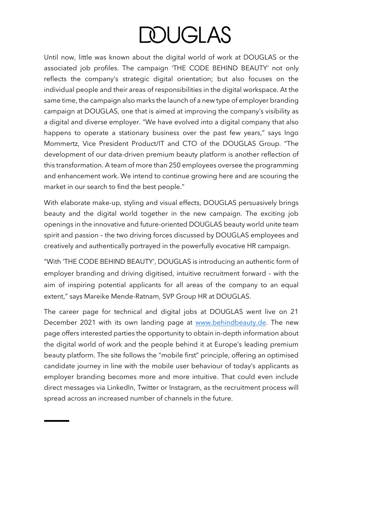# **DOUGLAS**

Until now, little was known about the digital world of work at DOUGLAS or the associated job profiles. The campaign 'THE CODE BEHIND BEAUTY' not only reflects the company's strategic digital orientation; but also focuses on the individual people and their areas of responsibilities in the digital workspace. At the same time, the campaign also marks the launch of a new type of employer branding campaign at DOUGLAS, one that is aimed at improving the company's visibility as a digital and diverse employer. "We have evolved into a digital company that also happens to operate a stationary business over the past few years," says Ingo Mommertz, Vice President Product/IT and CTO of the DOUGLAS Group. "The development of our data-driven premium beauty platform is another reflection of this transformation. A team of more than 250 employees oversee the programming and enhancement work. We intend to continue growing here and are scouring the market in our search to find the best people."

With elaborate make-up, styling and visual effects, DOUGLAS persuasively brings beauty and the digital world together in the new campaign. The exciting job openings in the innovative and future-oriented DOUGLAS beauty world unite team spirit and passion – the two driving forces discussed by DOUGLAS employees and creatively and authentically portrayed in the powerfully evocative HR campaign.

"With 'THE CODE BEHIND BEAUTY', DOUGLAS is introducing an authentic form of employer branding and driving digitised, intuitive recruitment forward – with the aim of inspiring potential applicants for all areas of the company to an equal extent," says Mareike Mende-Ratnam, SVP Group HR at DOUGLAS.

The career page for technical and digital jobs at DOUGLAS went live on 21 December 2021 with its own landing page at [www.behindbeauty.de.](http://www.behindbeauty.de/) The new page offers interested parties the opportunity to obtain in-depth information about the digital world of work and the people behind it at Europe's leading premium beauty platform. The site follows the "mobile first" principle, offering an optimised candidate journey in line with the mobile user behaviour of today's applicants as employer branding becomes more and more intuitive. That could even include direct messages via LinkedIn, Twitter or Instagram, as the recruitment process will spread across an increased number of channels in the future.